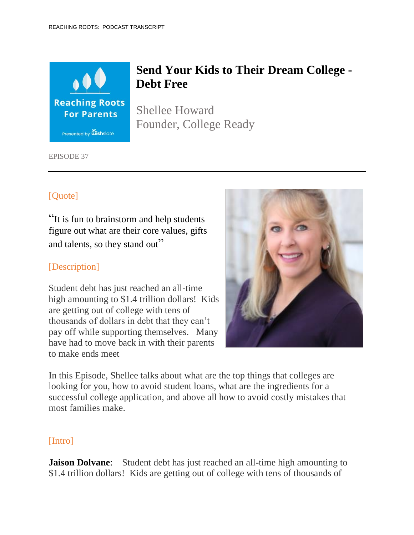

# **Send Your Kids to Their Dream College - Debt Free**

Shellee Howard Founder, College Ready

EPISODE 37

## [Quote]

"It is fun to brainstorm and help students figure out what are their core values, gifts and talents, so they stand out"

## [Description]

Student debt has just reached an all-time high amounting to \$1.4 trillion dollars! Kids are getting out of college with tens of thousands of dollars in debt that they can't pay off while supporting themselves. Many have had to move back in with their parents to make ends meet



In this Episode, Shellee talks about what are the top things that colleges are looking for you, how to avoid student loans, what are the ingredients for a successful college application, and above all how to avoid costly mistakes that most families make.

#### [Intro]

**Jaison Dolvane:** Student debt has just reached an all-time high amounting to \$1.4 trillion dollars! Kids are getting out of college with tens of thousands of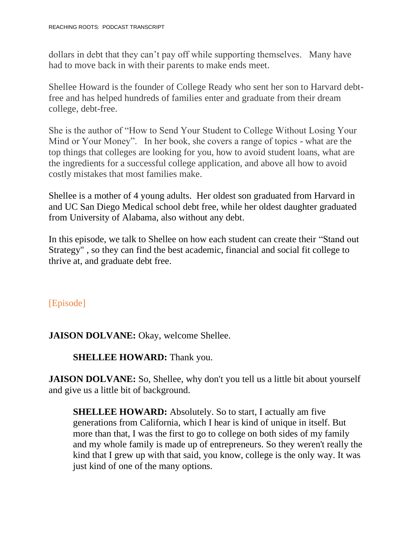dollars in debt that they can't pay off while supporting themselves. Many have had to move back in with their parents to make ends meet.

Shellee Howard is the founder of College Ready who sent her son to Harvard debtfree and has helped hundreds of families enter and graduate from their dream college, debt-free.

She is the author of "How to Send Your Student to College Without Losing Your Mind or Your Money". In her book, she covers a range of topics - what are the top things that colleges are looking for you, how to avoid student loans, what are the ingredients for a successful college application, and above all how to avoid costly mistakes that most families make.

Shellee is a mother of 4 young adults. Her oldest son graduated from Harvard in and UC San Diego Medical school debt free, while her oldest daughter graduated from University of Alabama, also without any debt.

In this episode, we talk to Shellee on how each student can create their "Stand out Strategy" , so they can find the best academic, financial and social fit college to thrive at, and graduate debt free.

## [Episode]

**JAISON DOLVANE:** Okay, welcome Shellee.

### **SHELLEE HOWARD:** Thank you.

**JAISON DOLVANE:** So, Shellee, why don't you tell us a little bit about yourself and give us a little bit of background.

**SHELLEE HOWARD:** Absolutely. So to start, I actually am five generations from California, which I hear is kind of unique in itself. But more than that, I was the first to go to college on both sides of my family and my whole family is made up of entrepreneurs. So they weren't really the kind that I grew up with that said, you know, college is the only way. It was just kind of one of the many options.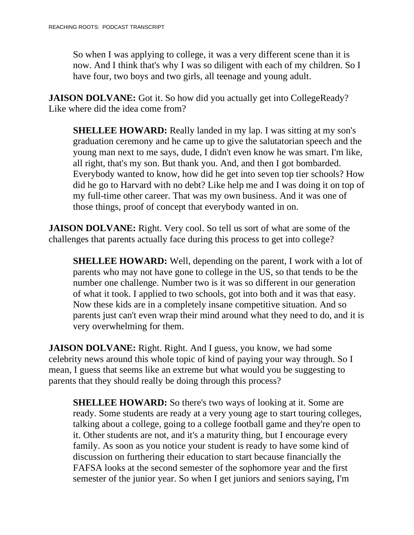So when I was applying to college, it was a very different scene than it is now. And I think that's why I was so diligent with each of my children. So I have four, two boys and two girls, all teenage and young adult.

**JAISON DOLVANE:** Got it. So how did you actually get into CollegeReady? Like where did the idea come from?

**SHELLEE HOWARD:** Really landed in my lap. I was sitting at my son's graduation ceremony and he came up to give the salutatorian speech and the young man next to me says, dude, I didn't even know he was smart. I'm like, all right, that's my son. But thank you. And, and then I got bombarded. Everybody wanted to know, how did he get into seven top tier schools? How did he go to Harvard with no debt? Like help me and I was doing it on top of my full-time other career. That was my own business. And it was one of those things, proof of concept that everybody wanted in on.

**JAISON DOLVANE:** Right. Very cool. So tell us sort of what are some of the challenges that parents actually face during this process to get into college?

**SHELLEE HOWARD:** Well, depending on the parent, I work with a lot of parents who may not have gone to college in the US, so that tends to be the number one challenge. Number two is it was so different in our generation of what it took. I applied to two schools, got into both and it was that easy. Now these kids are in a completely insane competitive situation. And so parents just can't even wrap their mind around what they need to do, and it is very overwhelming for them.

**JAISON DOLVANE:** Right. Right. And I guess, you know, we had some celebrity news around this whole topic of kind of paying your way through. So I mean, I guess that seems like an extreme but what would you be suggesting to parents that they should really be doing through this process?

**SHELLEE HOWARD:** So there's two ways of looking at it. Some are ready. Some students are ready at a very young age to start touring colleges, talking about a college, going to a college football game and they're open to it. Other students are not, and it's a maturity thing, but I encourage every family. As soon as you notice your student is ready to have some kind of discussion on furthering their education to start because financially the FAFSA looks at the second semester of the sophomore year and the first semester of the junior year. So when I get juniors and seniors saying, I'm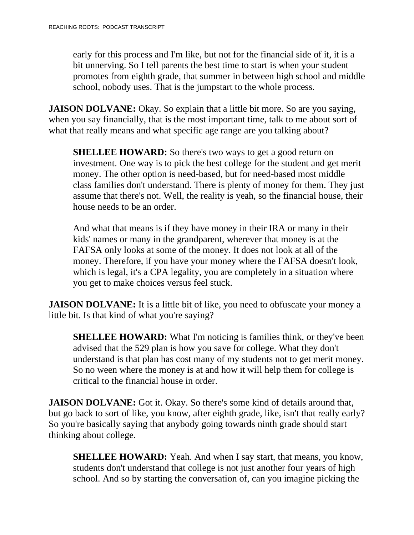early for this process and I'm like, but not for the financial side of it, it is a bit unnerving. So I tell parents the best time to start is when your student promotes from eighth grade, that summer in between high school and middle school, nobody uses. That is the jumpstart to the whole process.

**JAISON DOLVANE:** Okay. So explain that a little bit more. So are you saying, when you say financially, that is the most important time, talk to me about sort of what that really means and what specific age range are you talking about?

**SHELLEE HOWARD:** So there's two ways to get a good return on investment. One way is to pick the best college for the student and get merit money. The other option is need-based, but for need-based most middle class families don't understand. There is plenty of money for them. They just assume that there's not. Well, the reality is yeah, so the financial house, their house needs to be an order.

And what that means is if they have money in their IRA or many in their kids' names or many in the grandparent, wherever that money is at the FAFSA only looks at some of the money. It does not look at all of the money. Therefore, if you have your money where the FAFSA doesn't look, which is legal, it's a CPA legality, you are completely in a situation where you get to make choices versus feel stuck.

**JAISON DOLVANE:** It is a little bit of like, you need to obfuscate your money a little bit. Is that kind of what you're saying?

**SHELLEE HOWARD:** What I'm noticing is families think, or they've been advised that the 529 plan is how you save for college. What they don't understand is that plan has cost many of my students not to get merit money. So no ween where the money is at and how it will help them for college is critical to the financial house in order.

**JAISON DOLVANE:** Got it. Okay. So there's some kind of details around that, but go back to sort of like, you know, after eighth grade, like, isn't that really early? So you're basically saying that anybody going towards ninth grade should start thinking about college.

**SHELLEE HOWARD:** Yeah. And when I say start, that means, you know, students don't understand that college is not just another four years of high school. And so by starting the conversation of, can you imagine picking the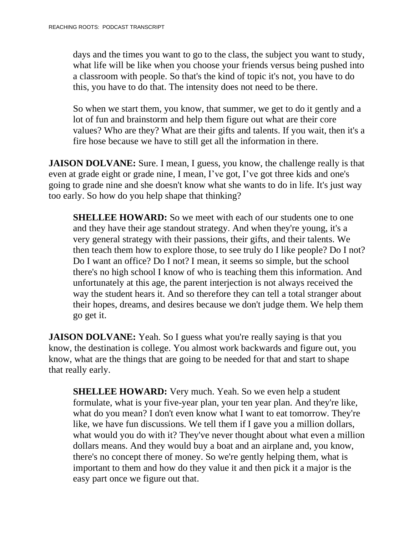days and the times you want to go to the class, the subject you want to study, what life will be like when you choose your friends versus being pushed into a classroom with people. So that's the kind of topic it's not, you have to do this, you have to do that. The intensity does not need to be there.

So when we start them, you know, that summer, we get to do it gently and a lot of fun and brainstorm and help them figure out what are their core values? Who are they? What are their gifts and talents. If you wait, then it's a fire hose because we have to still get all the information in there.

**JAISON DOLVANE:** Sure. I mean, I guess, you know, the challenge really is that even at grade eight or grade nine, I mean, I've got, I've got three kids and one's going to grade nine and she doesn't know what she wants to do in life. It's just way too early. So how do you help shape that thinking?

**SHELLEE HOWARD:** So we meet with each of our students one to one and they have their age standout strategy. And when they're young, it's a very general strategy with their passions, their gifts, and their talents. We then teach them how to explore those, to see truly do I like people? Do I not? Do I want an office? Do I not? I mean, it seems so simple, but the school there's no high school I know of who is teaching them this information. And unfortunately at this age, the parent interjection is not always received the way the student hears it. And so therefore they can tell a total stranger about their hopes, dreams, and desires because we don't judge them. We help them go get it.

**JAISON DOLVANE:** Yeah. So I guess what you're really saying is that you know, the destination is college. You almost work backwards and figure out, you know, what are the things that are going to be needed for that and start to shape that really early.

**SHELLEE HOWARD:** Very much. Yeah. So we even help a student formulate, what is your five-year plan, your ten year plan. And they're like, what do you mean? I don't even know what I want to eat tomorrow. They're like, we have fun discussions. We tell them if I gave you a million dollars, what would you do with it? They've never thought about what even a million dollars means. And they would buy a boat and an airplane and, you know, there's no concept there of money. So we're gently helping them, what is important to them and how do they value it and then pick it a major is the easy part once we figure out that.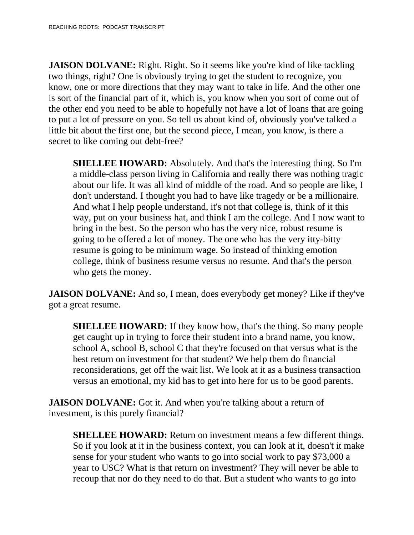**JAISON DOLVANE:** Right. Right. So it seems like you're kind of like tackling two things, right? One is obviously trying to get the student to recognize, you know, one or more directions that they may want to take in life. And the other one is sort of the financial part of it, which is, you know when you sort of come out of the other end you need to be able to hopefully not have a lot of loans that are going to put a lot of pressure on you. So tell us about kind of, obviously you've talked a little bit about the first one, but the second piece, I mean, you know, is there a secret to like coming out debt-free?

**SHELLEE HOWARD:** Absolutely. And that's the interesting thing. So I'm a middle-class person living in California and really there was nothing tragic about our life. It was all kind of middle of the road. And so people are like, I don't understand. I thought you had to have like tragedy or be a millionaire. And what I help people understand, it's not that college is, think of it this way, put on your business hat, and think I am the college. And I now want to bring in the best. So the person who has the very nice, robust resume is going to be offered a lot of money. The one who has the very itty-bitty resume is going to be minimum wage. So instead of thinking emotion college, think of business resume versus no resume. And that's the person who gets the money.

**JAISON DOLVANE:** And so, I mean, does everybody get money? Like if they've got a great resume.

**SHELLEE HOWARD:** If they know how, that's the thing. So many people get caught up in trying to force their student into a brand name, you know, school A, school B, school C that they're focused on that versus what is the best return on investment for that student? We help them do financial reconsiderations, get off the wait list. We look at it as a business transaction versus an emotional, my kid has to get into here for us to be good parents.

**JAISON DOLVANE:** Got it. And when you're talking about a return of investment, is this purely financial?

**SHELLEE HOWARD:** Return on investment means a few different things. So if you look at it in the business context, you can look at it, doesn't it make sense for your student who wants to go into social work to pay \$73,000 a year to USC? What is that return on investment? They will never be able to recoup that nor do they need to do that. But a student who wants to go into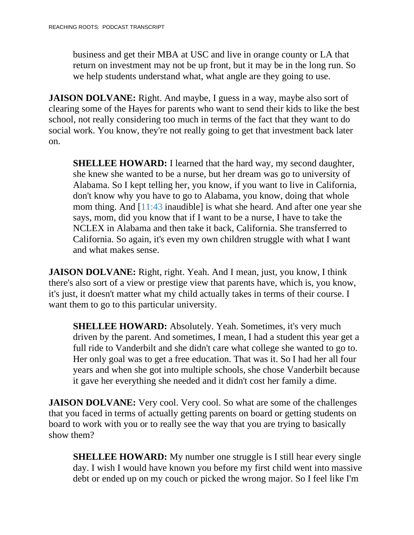business and get their MBA at USC and live in orange county or LA that return on investment may not be up front, but it may be in the long run. So we help students understand what, what angle are they going to use.

**JAISON DOLVANE:** Right. And maybe, I guess in a way, maybe also sort of clearing some of the Hayes for parents who want to send their kids to like the best school, not really considering too much in terms of the fact that they want to do social work. You know, they're not really going to get that investment back later on.

**SHELLEE HOWARD:** I learned that the hard way, my second daughter, she knew she wanted to be a nurse, but her dream was go to university of Alabama. So I kept telling her, you know, if you want to live in California, don't know why you have to go to Alabama, you know, doing that whole mom thing. And [11:43 inaudible] is what she heard. And after one year she says, mom, did you know that if I want to be a nurse, I have to take the NCLEX in Alabama and then take it back, California. She transferred to California. So again, it's even my own children struggle with what I want and what makes sense.

**JAISON DOLVANE:** Right, right. Yeah. And I mean, just, you know, I think there's also sort of a view or prestige view that parents have, which is, you know, it's just, it doesn't matter what my child actually takes in terms of their course. I want them to go to this particular university.

**SHELLEE HOWARD:** Absolutely. Yeah. Sometimes, it's very much driven by the parent. And sometimes, I mean, I had a student this year get a full ride to Vanderbilt and she didn't care what college she wanted to go to. Her only goal was to get a free education. That was it. So I had her all four years and when she got into multiple schools, she chose Vanderbilt because it gave her everything she needed and it didn't cost her family a dime.

**JAISON DOLVANE:** Very cool. Very cool. So what are some of the challenges that you faced in terms of actually getting parents on board or getting students on board to work with you or to really see the way that you are trying to basically show them?

**SHELLEE HOWARD:** My number one struggle is I still hear every single day. I wish I would have known you before my first child went into massive debt or ended up on my couch or picked the wrong major. So I feel like I'm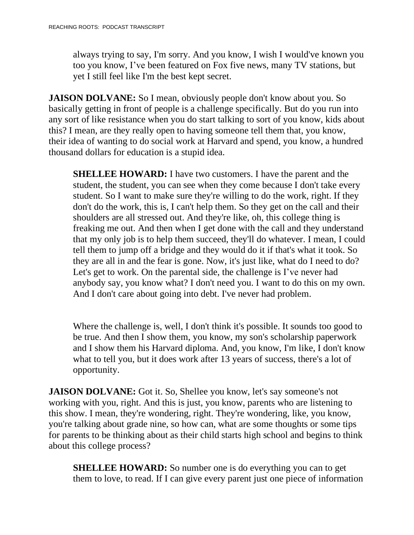always trying to say, I'm sorry. And you know, I wish I would've known you too you know, I've been featured on Fox five news, many TV stations, but yet I still feel like I'm the best kept secret.

**JAISON DOLVANE:** So I mean, obviously people don't know about you. So basically getting in front of people is a challenge specifically. But do you run into any sort of like resistance when you do start talking to sort of you know, kids about this? I mean, are they really open to having someone tell them that, you know, their idea of wanting to do social work at Harvard and spend, you know, a hundred thousand dollars for education is a stupid idea.

**SHELLEE HOWARD:** I have two customers. I have the parent and the student, the student, you can see when they come because I don't take every student. So I want to make sure they're willing to do the work, right. If they don't do the work, this is, I can't help them. So they get on the call and their shoulders are all stressed out. And they're like, oh, this college thing is freaking me out. And then when I get done with the call and they understand that my only job is to help them succeed, they'll do whatever. I mean, I could tell them to jump off a bridge and they would do it if that's what it took. So they are all in and the fear is gone. Now, it's just like, what do I need to do? Let's get to work. On the parental side, the challenge is I've never had anybody say, you know what? I don't need you. I want to do this on my own. And I don't care about going into debt. I've never had problem.

Where the challenge is, well, I don't think it's possible. It sounds too good to be true. And then I show them, you know, my son's scholarship paperwork and I show them his Harvard diploma. And, you know, I'm like, I don't know what to tell you, but it does work after 13 years of success, there's a lot of opportunity.

**JAISON DOLVANE:** Got it. So, Shellee you know, let's say someone's not working with you, right. And this is just, you know, parents who are listening to this show. I mean, they're wondering, right. They're wondering, like, you know, you're talking about grade nine, so how can, what are some thoughts or some tips for parents to be thinking about as their child starts high school and begins to think about this college process?

**SHELLEE HOWARD:** So number one is do everything you can to get them to love, to read. If I can give every parent just one piece of information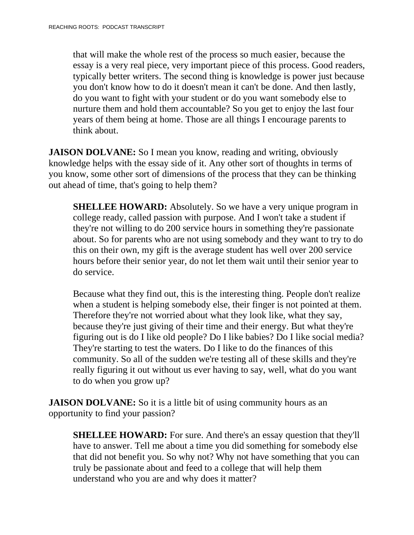that will make the whole rest of the process so much easier, because the essay is a very real piece, very important piece of this process. Good readers, typically better writers. The second thing is knowledge is power just because you don't know how to do it doesn't mean it can't be done. And then lastly, do you want to fight with your student or do you want somebody else to nurture them and hold them accountable? So you get to enjoy the last four years of them being at home. Those are all things I encourage parents to think about.

**JAISON DOLVANE:** So I mean you know, reading and writing, obviously knowledge helps with the essay side of it. Any other sort of thoughts in terms of you know, some other sort of dimensions of the process that they can be thinking out ahead of time, that's going to help them?

**SHELLEE HOWARD:** Absolutely. So we have a very unique program in college ready, called passion with purpose. And I won't take a student if they're not willing to do 200 service hours in something they're passionate about. So for parents who are not using somebody and they want to try to do this on their own, my gift is the average student has well over 200 service hours before their senior year, do not let them wait until their senior year to do service.

Because what they find out, this is the interesting thing. People don't realize when a student is helping somebody else, their finger is not pointed at them. Therefore they're not worried about what they look like, what they say, because they're just giving of their time and their energy. But what they're figuring out is do I like old people? Do I like babies? Do I like social media? They're starting to test the waters. Do I like to do the finances of this community. So all of the sudden we're testing all of these skills and they're really figuring it out without us ever having to say, well, what do you want to do when you grow up?

**JAISON DOLVANE:** So it is a little bit of using community hours as an opportunity to find your passion?

**SHELLEE HOWARD:** For sure. And there's an essay question that they'll have to answer. Tell me about a time you did something for somebody else that did not benefit you. So why not? Why not have something that you can truly be passionate about and feed to a college that will help them understand who you are and why does it matter?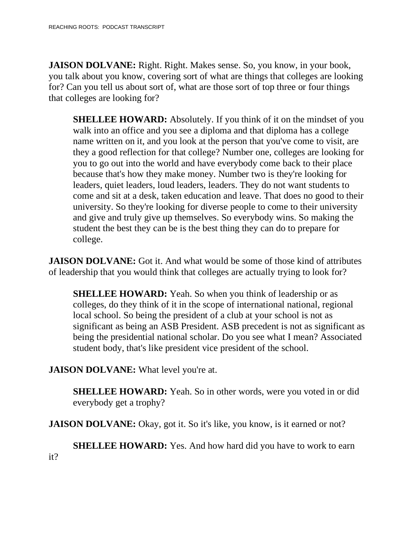**JAISON DOLVANE:** Right. Right. Makes sense. So, you know, in your book, you talk about you know, covering sort of what are things that colleges are looking for? Can you tell us about sort of, what are those sort of top three or four things that colleges are looking for?

**SHELLEE HOWARD:** Absolutely. If you think of it on the mindset of you walk into an office and you see a diploma and that diploma has a college name written on it, and you look at the person that you've come to visit, are they a good reflection for that college? Number one, colleges are looking for you to go out into the world and have everybody come back to their place because that's how they make money. Number two is they're looking for leaders, quiet leaders, loud leaders, leaders. They do not want students to come and sit at a desk, taken education and leave. That does no good to their university. So they're looking for diverse people to come to their university and give and truly give up themselves. So everybody wins. So making the student the best they can be is the best thing they can do to prepare for college.

**JAISON DOLVANE:** Got it. And what would be some of those kind of attributes of leadership that you would think that colleges are actually trying to look for?

**SHELLEE HOWARD:** Yeah. So when you think of leadership or as colleges, do they think of it in the scope of international national, regional local school. So being the president of a club at your school is not as significant as being an ASB President. ASB precedent is not as significant as being the presidential national scholar. Do you see what I mean? Associated student body, that's like president vice president of the school.

**JAISON DOLVANE:** What level you're at.

**SHELLEE HOWARD:** Yeah. So in other words, were you voted in or did everybody get a trophy?

**JAISON DOLVANE:** Okay, got it. So it's like, you know, is it earned or not?

**SHELLEE HOWARD:** Yes. And how hard did you have to work to earn it?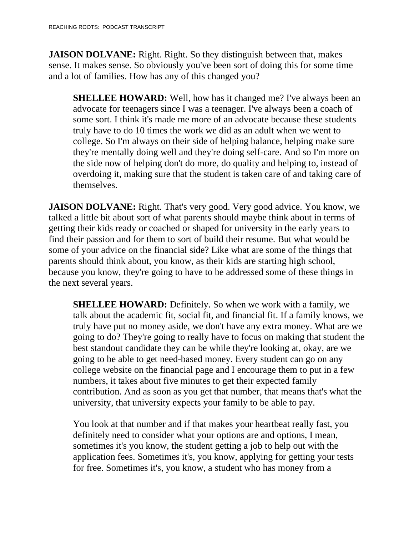**JAISON DOLVANE:** Right. Right. So they distinguish between that, makes sense. It makes sense. So obviously you've been sort of doing this for some time and a lot of families. How has any of this changed you?

**SHELLEE HOWARD:** Well, how has it changed me? I've always been an advocate for teenagers since I was a teenager. I've always been a coach of some sort. I think it's made me more of an advocate because these students truly have to do 10 times the work we did as an adult when we went to college. So I'm always on their side of helping balance, helping make sure they're mentally doing well and they're doing self-care. And so I'm more on the side now of helping don't do more, do quality and helping to, instead of overdoing it, making sure that the student is taken care of and taking care of themselves.

**JAISON DOLVANE:** Right. That's very good. Very good advice. You know, we talked a little bit about sort of what parents should maybe think about in terms of getting their kids ready or coached or shaped for university in the early years to find their passion and for them to sort of build their resume. But what would be some of your advice on the financial side? Like what are some of the things that parents should think about, you know, as their kids are starting high school, because you know, they're going to have to be addressed some of these things in the next several years.

**SHELLEE HOWARD:** Definitely. So when we work with a family, we talk about the academic fit, social fit, and financial fit. If a family knows, we truly have put no money aside, we don't have any extra money. What are we going to do? They're going to really have to focus on making that student the best standout candidate they can be while they're looking at, okay, are we going to be able to get need-based money. Every student can go on any college website on the financial page and I encourage them to put in a few numbers, it takes about five minutes to get their expected family contribution. And as soon as you get that number, that means that's what the university, that university expects your family to be able to pay.

You look at that number and if that makes your heartbeat really fast, you definitely need to consider what your options are and options, I mean, sometimes it's you know, the student getting a job to help out with the application fees. Sometimes it's, you know, applying for getting your tests for free. Sometimes it's, you know, a student who has money from a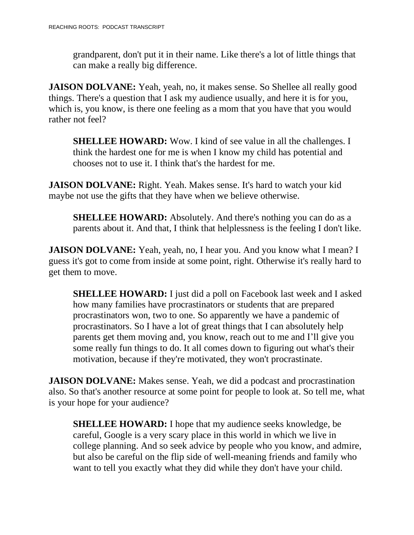grandparent, don't put it in their name. Like there's a lot of little things that can make a really big difference.

**JAISON DOLVANE:** Yeah, yeah, no, it makes sense. So Shellee all really good things. There's a question that I ask my audience usually, and here it is for you, which is, you know, is there one feeling as a mom that you have that you would rather not feel?

**SHELLEE HOWARD:** Wow. I kind of see value in all the challenges. I think the hardest one for me is when I know my child has potential and chooses not to use it. I think that's the hardest for me.

**JAISON DOLVANE:** Right. Yeah. Makes sense. It's hard to watch your kid maybe not use the gifts that they have when we believe otherwise.

**SHELLEE HOWARD:** Absolutely. And there's nothing you can do as a parents about it. And that, I think that helplessness is the feeling I don't like.

**JAISON DOLVANE:** Yeah, yeah, no, I hear you. And you know what I mean? I guess it's got to come from inside at some point, right. Otherwise it's really hard to get them to move.

**SHELLEE HOWARD:** I just did a poll on Facebook last week and I asked how many families have procrastinators or students that are prepared procrastinators won, two to one. So apparently we have a pandemic of procrastinators. So I have a lot of great things that I can absolutely help parents get them moving and, you know, reach out to me and I'll give you some really fun things to do. It all comes down to figuring out what's their motivation, because if they're motivated, they won't procrastinate.

**JAISON DOLVANE:** Makes sense. Yeah, we did a podcast and procrastination also. So that's another resource at some point for people to look at. So tell me, what is your hope for your audience?

**SHELLEE HOWARD:** I hope that my audience seeks knowledge, be careful, Google is a very scary place in this world in which we live in college planning. And so seek advice by people who you know, and admire, but also be careful on the flip side of well-meaning friends and family who want to tell you exactly what they did while they don't have your child.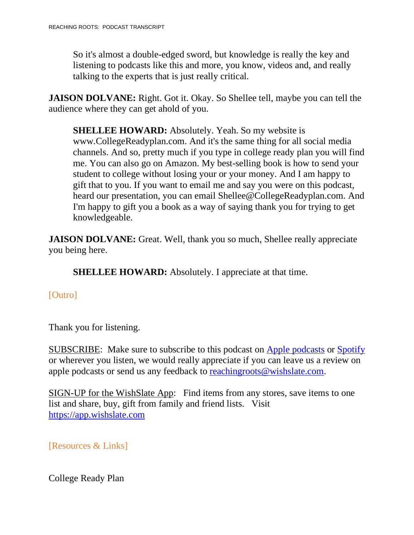So it's almost a double-edged sword, but knowledge is really the key and listening to podcasts like this and more, you know, videos and, and really talking to the experts that is just really critical.

**JAISON DOLVANE:** Right. Got it. Okay. So Shellee tell, maybe you can tell the audience where they can get ahold of you.

**SHELLEE HOWARD:** Absolutely. Yeah. So my website is www.CollegeReadyplan.com. And it's the same thing for all social media channels. And so, pretty much if you type in college ready plan you will find me. You can also go on Amazon. My best-selling book is how to send your student to college without losing your or your money. And I am happy to gift that to you. If you want to email me and say you were on this podcast, heard our presentation, you can email Shellee@CollegeReadyplan.com. And I'm happy to gift you a book as a way of saying thank you for trying to get knowledgeable.

**JAISON DOLVANE:** Great. Well, thank you so much, Shellee really appreciate you being here.

**SHELLEE HOWARD:** Absolutely. I appreciate at that time.

## [Outro]

Thank you for listening.

SUBSCRIBE: Make sure to subscribe to this podcast on Apple [podcasts](https://podcasts.apple.com/us/podcast/reaching-roots/id1540658282?uo=4) or [Spotify](https://open.spotify.com/show/3LG42c0YAEFvUQMVS9EHWC?si=JdaHHJCIRRW-cWZycNtqOQ) or wherever you listen, we would really appreciate if you can leave us a review on apple podcasts or send us any feedback to [reachingroots@wishslate.com.](mailto:reachingroots@wishslate.com?subject=Comment%20on%20RR%20Podcast)

SIGN-UP for the WishSlate App: Find items from any stores, save items to one list and share, buy, gift from family and friend lists. Visit [https://app.wishslate.com](https://app.wishslate.com/)

[Resources & Links]

College Ready Plan